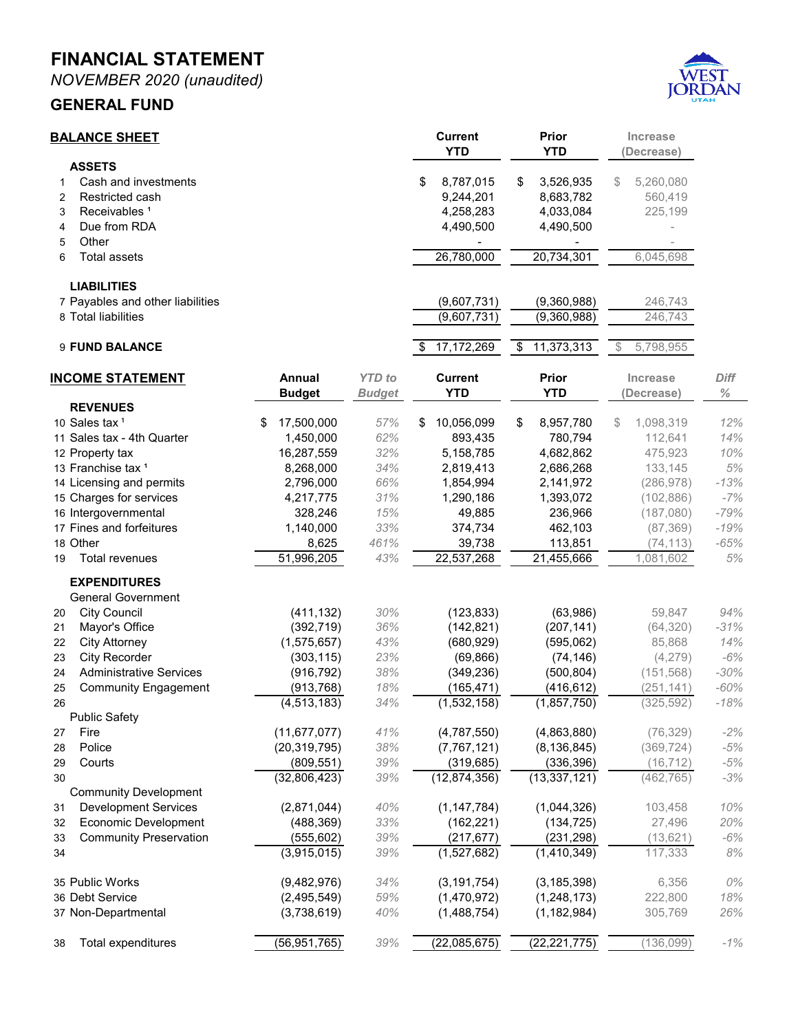**MONTHLY FINANCIAL STATEMENT FOR THE FISCAL YEAR 2020-2021 NOVEMBER 30, 2020**



**Prepared by Danyce Steck, CPFO Administrative Services Director**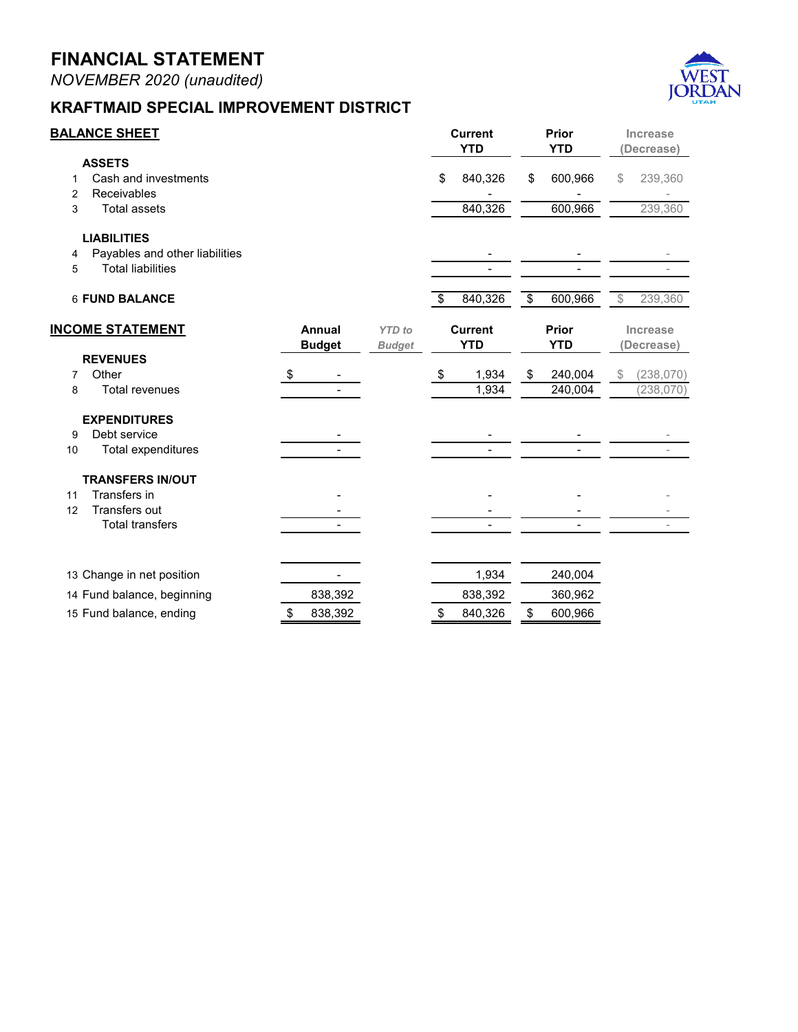| NOVEMBER 2020 (unaudited) |  |
|---------------------------|--|
|---------------------------|--|



## **HIGHLAND SPECIAL IMPROVEMENT DISTRICT**

| <b>BALANCE SHEET</b>    |                                |    |               |               | <b>Current</b><br><b>YTD</b> |            | Prior<br><b>YTD</b> |            | Increase<br>(Decrease) |            |             |
|-------------------------|--------------------------------|----|---------------|---------------|------------------------------|------------|---------------------|------------|------------------------|------------|-------------|
|                         | <b>ASSETS</b>                  |    |               |               |                              |            |                     |            |                        |            |             |
| 1                       | Cash and investments           |    |               |               | \$                           | (12, 284)  | \$                  | (11, 636)  | $\$\$                  | (648)      |             |
| 2                       | Receivables                    |    |               |               |                              | 7,868      |                     | 3,978      |                        | 3,890      |             |
|                         | 3<br><b>Total assets</b>       |    |               |               |                              | (4, 417)   |                     | (7,658)    |                        | 3,242      |             |
|                         | <b>LIABILITIES</b>             |    |               |               |                              |            |                     |            |                        |            |             |
| 4                       | Payables and other liabilities |    |               |               |                              | (10, 916)  |                     |            |                        | 10,916     |             |
|                         | <b>Total liabilities</b><br>5  |    |               |               |                              | (10, 916)  |                     |            |                        | 10,916     |             |
|                         | <b>6 FUND BALANCE</b>          |    |               |               | \$                           | (15, 332)  | \$                  | (7,658)    | $\$\$                  | (7,674)    |             |
| <b>INCOME STATEMENT</b> |                                |    | Annual        | <b>YTD</b> to | <b>Current</b>               |            | Prior               |            | Increase               |            | <b>Diff</b> |
|                         |                                |    | <b>Budget</b> | <b>Budget</b> |                              | <b>YTD</b> |                     | <b>YTD</b> |                        | (Decrease) | $\%$        |
|                         | <b>REVENUES</b>                |    |               |               |                              |            |                     |            |                        |            |             |
| 7                       | Assessments                    | \$ | 170,259       |               | \$                           | 40,023     | \$                  | 32,980     | \$                     | 7,043      |             |
| 8                       | Other                          |    |               |               |                              | (6)        |                     | (49)       |                        | 44         |             |
| 9                       | <b>Total revenues</b>          |    | 170,259       | 24%           |                              | 40,017     |                     | 32,931     |                        | 7,086      | 22%         |
|                         | <b>EXPENDITURES</b>            |    |               |               |                              |            |                     |            |                        |            |             |
| 10                      | Operations                     |    | (140, 350)    |               |                              | (55, 349)  |                     | (32, 388)  |                        | 22,961     |             |
| 11                      | Total expenditures             |    | (140, 350)    | 39%           |                              | (55, 349)  |                     | (32, 388)  |                        | 22,961     | 71%         |
|                         | <b>TRANSFERS</b>               |    |               |               |                              |            |                     |            |                        |            |             |
| 12                      | Transfers in                   |    |               |               |                              |            |                     |            |                        |            |             |
| 13                      | <b>Total transfers</b>         |    |               |               |                              | -          |                     |            |                        |            |             |
|                         | 14 Change in net position      |    | 29,909        |               |                              | (15, 332)  |                     | 542        |                        |            |             |
|                         | 15 Fund balance, beginning     |    |               |               |                              |            |                     | (8, 200)   |                        |            |             |
|                         | 16 Fund balance, ending        | \$ | 29,909        |               | \$                           | (15, 332)  | \$                  | (7,658)    |                        |            |             |